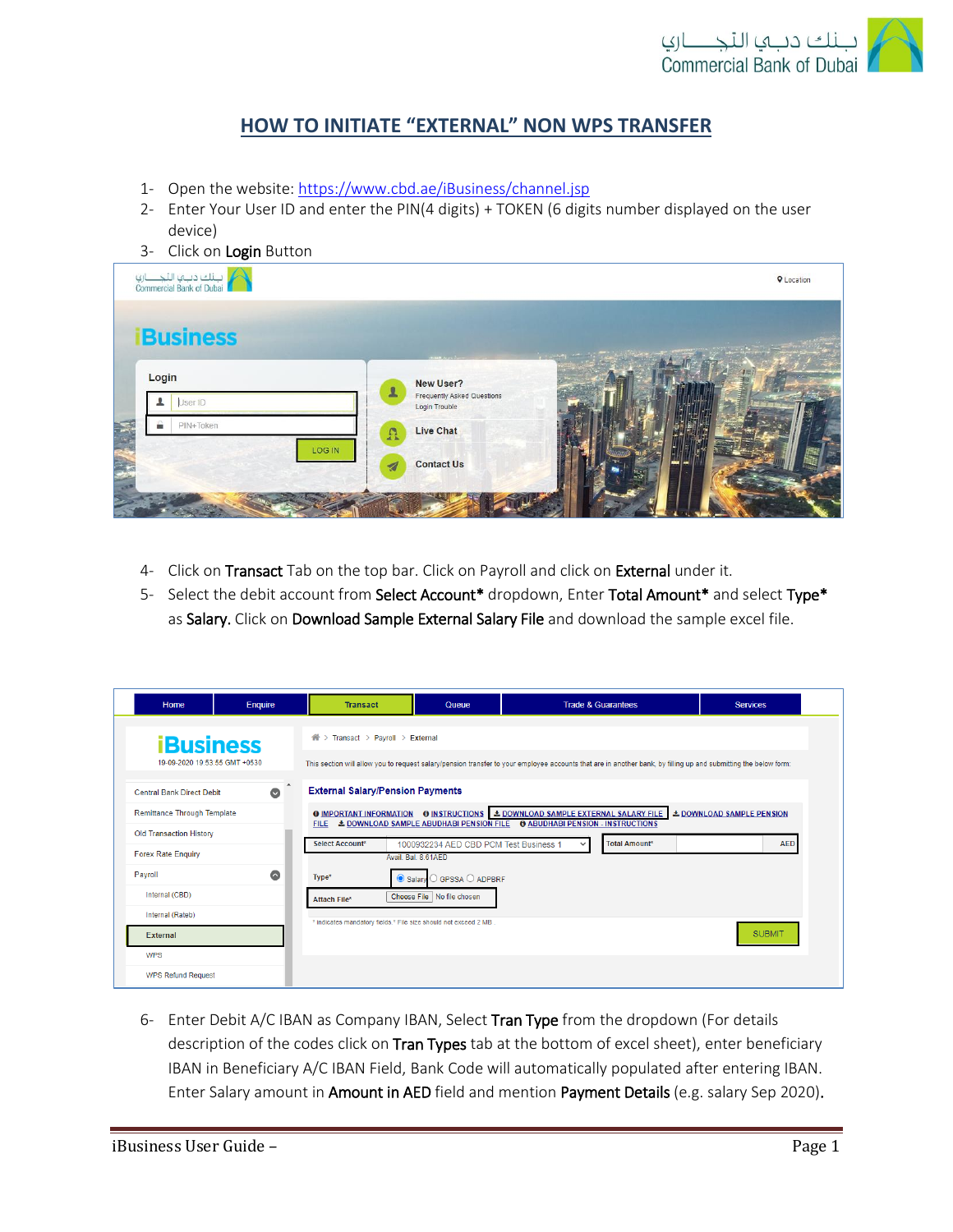

## **HOW TO INITIATE "EXTERNAL" NON WPS TRANSFER**

- 1- Open the website:<https://www.cbd.ae/iBusiness/channel.jsp>
- 2- Enter Your User ID and enter the PIN(4 digits) + TOKEN (6 digits number displayed on the user device)
- 3- Click on Login Button

| لم التجاري<br>Commercial Bank of Dubai |                                                                                                          | <b>Q</b> Location |
|----------------------------------------|----------------------------------------------------------------------------------------------------------|-------------------|
| <b>Business</b>                        |                                                                                                          |                   |
| Login<br>User ID                       | <b>STORE Area Sur</b><br>New User?<br>$\mathbf{r}$<br><b>Frequently Asked Questions</b><br>Login Trouble |                   |
| PIN+Token                              | Live Chat<br>$\Omega$                                                                                    |                   |
| LOG IN                                 | <b>Contact Us</b><br><b>CALLE</b> PARK<br>$\overline{\mathcal{A}}$                                       |                   |
|                                        |                                                                                                          |                   |

- 4- Click on Transact Tab on the top bar. Click on Payroll and click on External under it.
- 5- Select the debit account from Select Account\* dropdown, Enter Total Amount\* and select Type\* as Salary. Click on Download Sample External Salary File and download the sample excel file.

| Home                                                              | Enquire                    | <b>Transact</b>                                                                                                                                                                                            | Queue                                                     |  | <b>Trade &amp; Guarantees</b> | <b>Services</b>                  |  |
|-------------------------------------------------------------------|----------------------------|------------------------------------------------------------------------------------------------------------------------------------------------------------------------------------------------------------|-----------------------------------------------------------|--|-------------------------------|----------------------------------|--|
| <b>iBusiness</b>                                                  |                            | Transact > Payroll > External<br>谷〉                                                                                                                                                                        |                                                           |  |                               |                                  |  |
| 19-09-2020 19:53:55 GMT +0530<br><b>Central Bank Direct Debit</b> | $\rightarrow$<br>$\bullet$ | This section will allow you to request salary/pension transfer to your employee accounts that are in another bank, by filling up and submitting the below form:<br><b>External Salary/Pension Payments</b> |                                                           |  |                               |                                  |  |
| <b>Remittance Through Template</b>                                |                            | <b>O IMPORTANT INFORMATION O INSTRUCTIONS &amp; DOWNLOAD SAMPLE EXTERNAL SALARY FILE</b><br>FILE & DOWNLOAD SAMPLE ABUDHABI PENSION FILE + 0 ABUDHABI PENSION - INSTRUCTIONS                               |                                                           |  |                               | <b>L DOWNLOAD SAMPLE PENSION</b> |  |
| <b>Old Transaction History</b><br><b>Forex Rate Enquiry</b>       |                            | <b>Select Account*</b>                                                                                                                                                                                     | 1000932234 AED CBD PCM Test Business 1                    |  | <b>Total Amount*</b>          | <b>AED</b>                       |  |
| Payroll                                                           | $\bullet$                  | Type*<br>Salary                                                                                                                                                                                            | Avail, Bal, 8,61AED<br>$\bigcirc$ GPSSA $\bigcirc$ ADPBRF |  |                               |                                  |  |
| Internal (CBD)<br>Internal (Rateb)                                |                            | Attach File*                                                                                                                                                                                               | Choose File   No file chosen                              |  |                               |                                  |  |
| <b>External</b>                                                   |                            | * indicates mandatory fields.* File size should not exceed 2 MB.                                                                                                                                           |                                                           |  |                               | <b>SUBMIT</b>                    |  |
| <b>WPS</b><br><b>WPS Refund Request</b>                           |                            |                                                                                                                                                                                                            |                                                           |  |                               |                                  |  |

6- Enter Debit A/C IBAN as Company IBAN, Select Tran Type from the dropdown (For details description of the codes click on Tran Types tab at the bottom of excel sheet), enter beneficiary IBAN in Beneficiary A/C IBAN Field, Bank Code will automatically populated after entering IBAN. Enter Salary amount in Amount in AED field and mention Payment Details (e.g. salary Sep 2020).